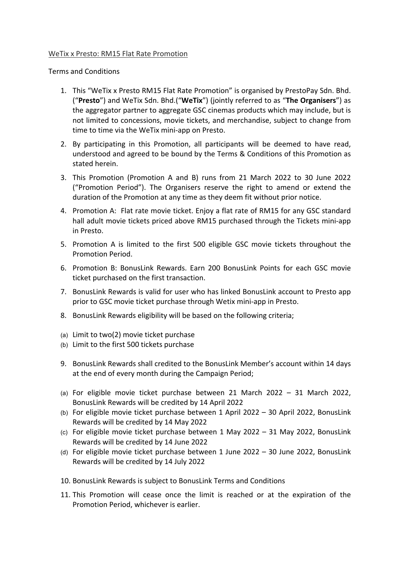## WeTix x Presto: RM15 Flat Rate Promotion

Terms and Conditions

- 1. This "WeTix x Presto RM15 Flat Rate Promotion" is organised by PrestoPay Sdn. Bhd. ("**Presto**") and WeTix Sdn. Bhd.("**WeTix**") (jointly referred to as "**The Organisers**") as the aggregator partner to aggregate GSC cinemas products which may include, but is not limited to concessions, movie tickets, and merchandise, subject to change from time to time via the WeTix mini-app on Presto.
- 2. By participating in this Promotion, all participants will be deemed to have read, understood and agreed to be bound by the Terms & Conditions of this Promotion as stated herein.
- 3. This Promotion (Promotion A and B) runs from 21 March 2022 to 30 June 2022 ("Promotion Period"). The Organisers reserve the right to amend or extend the duration of the Promotion at any time as they deem fit without prior notice.
- 4. Promotion A: Flat rate movie ticket. Enjoy a flat rate of RM15 for any GSC standard hall adult movie tickets priced above RM15 purchased through the Tickets mini-app in Presto.
- 5. Promotion A is limited to the first 500 eligible GSC movie tickets throughout the Promotion Period.
- 6. Promotion B: BonusLink Rewards. Earn 200 BonusLink Points for each GSC movie ticket purchased on the first transaction.
- 7. BonusLink Rewards is valid for user who has linked BonusLink account to Presto app prior to GSC movie ticket purchase through Wetix mini-app in Presto.
- 8. BonusLink Rewards eligibility will be based on the following criteria;
- (a) Limit to two(2) movie ticket purchase
- (b) Limit to the first 500 tickets purchase
- 9. BonusLink Rewards shall credited to the BonusLink Member's account within 14 days at the end of every month during the Campaign Period;
- (a) For eligible movie ticket purchase between 21 March 2022 31 March 2022, BonusLink Rewards will be credited by 14 April 2022
- (b) For eligible movie ticket purchase between 1 April 2022 30 April 2022, BonusLink Rewards will be credited by 14 May 2022
- (c) For eligible movie ticket purchase between 1 May 2022 31 May 2022, BonusLink Rewards will be credited by 14 June 2022
- (d) For eligible movie ticket purchase between 1 June 2022 30 June 2022, BonusLink Rewards will be credited by 14 July 2022
- 10. BonusLink Rewards is subject to BonusLink Terms and Conditions
- 11. This Promotion will cease once the limit is reached or at the expiration of the Promotion Period, whichever is earlier.